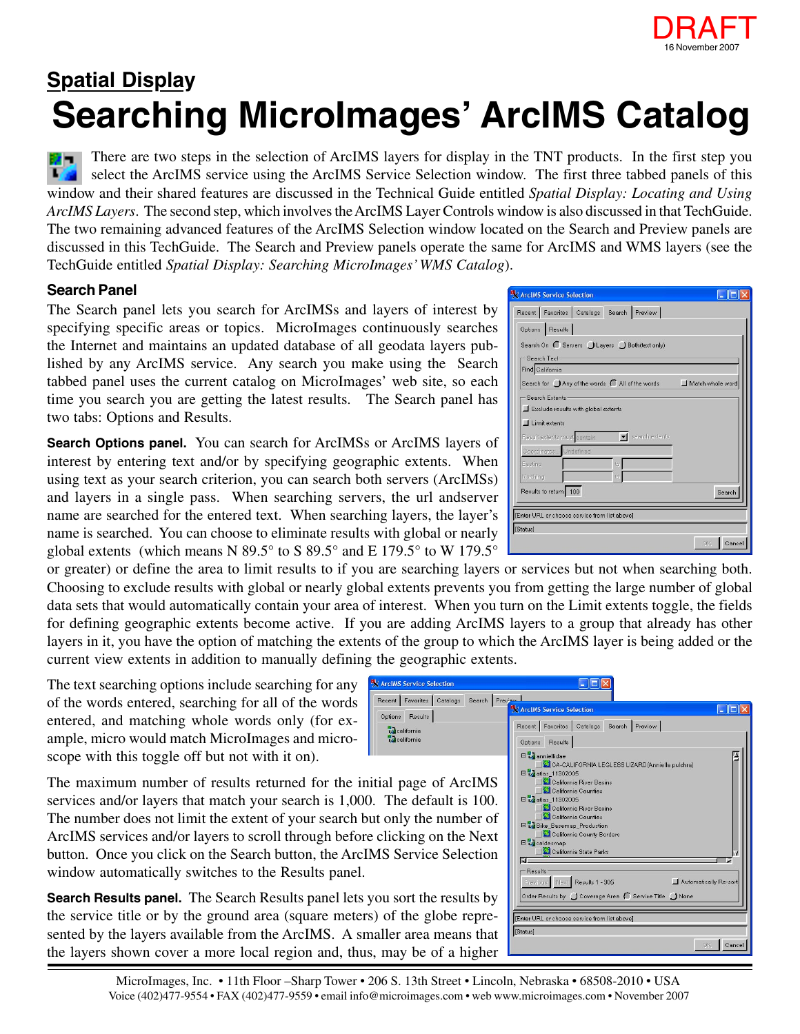

## **Searching MicroImages' ArcIMS Catalog Spatial Display**

There are two steps in the selection of ArcIMS layers for display in the TNT products. In the first step you **MA** select the ArcIMS service using the ArcIMS Service Selection window. The first three tabbed panels of this window and their shared features are discussed in the Technical Guide entitled *Spatial Display: Locating and Using ArcIMS Layers*. The second step, which involves the ArcIMS Layer Controls window is also discussed in that TechGuide. The two remaining advanced features of the ArcIMS Selection window located on the Search and Preview panels are discussed in this TechGuide. The Search and Preview panels operate the same for ArcIMS and WMS layers (see the TechGuide entitled *Spatial Display: Searching MicroImages' WMS Catalog*).

## **Search Panel**

The Search panel lets you search for ArcIMSs and layers of interest by specifying specific areas or topics. MicroImages continuously searches the Internet and maintains an updated database of all geodata layers published by any ArcIMS service. Any search you make using the Search tabbed panel uses the current catalog on MicroImages' web site, so each time you search you are getting the latest results. The Search panel has two tabs: Options and Results.

**Search Options panel.** You can search for ArcIMSs or ArcIMS layers of interest by entering text and/or by specifying geographic extents. When using text as your search criterion, you can search both servers (ArcIMSs) and layers in a single pass. When searching servers, the url andserver name are searched for the entered text. When searching layers, the layer's name is searched. You can choose to eliminate results with global or nearly global extents (which means N 89.5° to S 89.5° and E 179.5° to W 179.5°

or greater) or define the area to limit results to if you are searching layers or services but not when searching both. Choosing to exclude results with global or nearly global extents prevents you from getting the large number of global data sets that would automatically contain your area of interest. When you turn on the Limit extents toggle, the fields for defining geographic extents become active. If you are adding ArcIMS layers to a group that already has other layers in it, you have the option of matching the extents of the group to which the ArcIMS layer is being added or the current view extents in addition to manually defining the geographic extents.

> **X** ArcIMS Recent Options  $\frac{a}{4}$ ca

The text searching options include searching for any of the words entered, searching for all of the words entered, and matching whole words only (for example, micro would match MicroImages and microscope with this toggle off but not with it on).

The maximum number of results returned for the initial page of ArcIMSS services and/or layers that match your search is 1,000. The The number does not limit the extent of your search but only ArcIMS services and/or layers to scroll through before click button. Once you click on the Search button, the ArcIMS Se window automatically switches to the Results panel.

**Search Results panel.** The Search Results panel lets you so the service title or by the ground area (square meters) of the sented by the layers available from the ArcIMS. A smaller the layers shown cover a more local region and, thus, may

| X ArcIMS Service Selection<br>Recent Favorites Catalogs Search Preview |                                                |                  |
|------------------------------------------------------------------------|------------------------------------------------|------------------|
|                                                                        |                                                |                  |
| Options Results                                                        |                                                |                  |
| Search On C Servers Layers Both (text only)                            |                                                |                  |
| -Search Text-                                                          |                                                |                  |
| Find California                                                        |                                                |                  |
|                                                                        | Search for J Any of the words All of the words | Match whole word |
| -Search Extents-                                                       |                                                |                  |
| Exclude results with global extents                                    |                                                |                  |
| $\Box$ Limit extents                                                   |                                                |                  |
| Result extents must contain                                            | v search extents                               |                  |
| Coordinates Undefined                                                  |                                                |                  |
| Easting                                                                | ta                                             |                  |
| Northing                                                               | ta                                             |                  |
| Results to return 100                                                  |                                                | Search           |
|                                                                        |                                                |                  |
| [Enter URL or choose service from list above]                          |                                                |                  |
| [Status]                                                               |                                                |                  |
|                                                                        |                                                | Cancel<br>0K     |

| Service Selection                                             | $\Box$                                                                                                                                 |
|---------------------------------------------------------------|----------------------------------------------------------------------------------------------------------------------------------------|
| Search Preview<br>Favorites<br>Catalogs<br>Results<br>ifornia | ArcIMS Service Selection<br>Recent Favorites<br>Catalogs<br>Search<br>Preview                                                          |
| ifornia<br>age of ArcIMS                                      | Options<br>Results<br>□ vanniellidae<br>CA-CALIFORNIA LEGLESS LIZARD(Anniella pulchra)<br>日 2atlas_11302005<br>California River Basins |
| e default is 100.                                             | California Counties<br>日 atlas_11302005<br>California River Basins                                                                     |
| y the number of<br>ing on the Next                            | California Counties<br>□ Bike_Basemap_Production<br>California County Borders<br>B <sub>og</sub> caldesmap                             |
| ervice Selection                                              | California State Parks<br>M<br>-Results<br>Automatically Re-sort<br>Previous Next Results 1 - 305                                      |
| rt the results by                                             | Order Results by J Coverage Area ( Service Title J None                                                                                |
| he globe repre-                                               | [Enter URL or choose service from list above]                                                                                          |
| area means that                                               | [Status]<br>Cancel<br>OK                                                                                                               |
| be of a higher                                                |                                                                                                                                        |